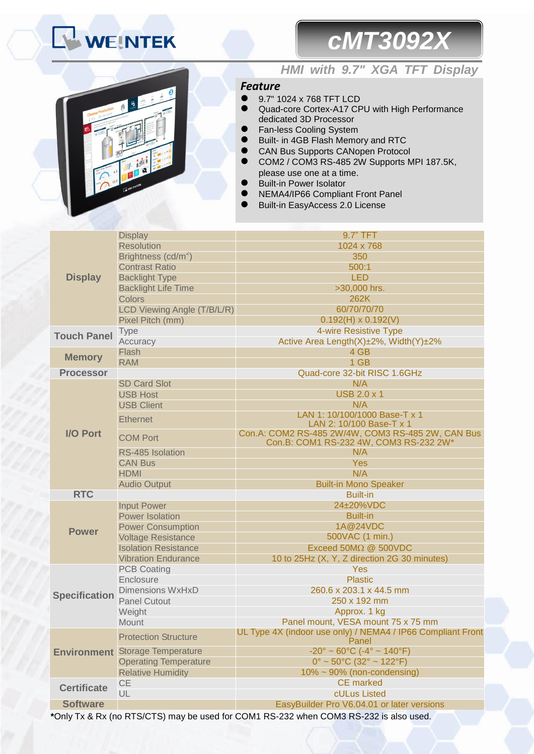# **WEINTEK**

## *cMT3092X*



## *HMI with 9.7" XGA TFT Display*

### *Feature*

- 9.7" 1024 x 768 TFT LCD
- Quad-core Cortex-A17 CPU with High Performance dedicated 3D Processor
- Fan-less Cooling System
- Built- in 4GB Flash Memory and RTC
	- CAN Bus Supports CANopen Protocol
- COM2 / COM3 RS-485 2W Supports MPI 187.5K, please use one at a time.
- Built-in Power Isolator
- NEMA4/IP66 Compliant Front Panel
- Built-in EasyAccess 2.0 License

|                      | <b>Display</b>                         | 9.7" TFT                                                                             |  |
|----------------------|----------------------------------------|--------------------------------------------------------------------------------------|--|
|                      | <b>Resolution</b>                      | 1024 x 768                                                                           |  |
|                      | Brightness (cd/m <sup>2</sup> )        | 350                                                                                  |  |
|                      | <b>Contrast Ratio</b>                  | 500:1                                                                                |  |
| <b>Display</b>       | <b>Backlight Type</b>                  | <b>LED</b>                                                                           |  |
|                      | <b>Backlight Life Time</b>             | >30,000 hrs.                                                                         |  |
|                      | Colors                                 | 262K                                                                                 |  |
|                      | LCD Viewing Angle (T/B/L/R)            | 60/70/70/70                                                                          |  |
|                      | Pixel Pitch (mm)                       | $0.192(H) \times 0.192(V)$                                                           |  |
| <b>Touch Panel</b>   | <b>Type</b>                            | 4-wire Resistive Type                                                                |  |
|                      | Accuracy                               | Active Area Length(X)±2%, Width(Y)±2%                                                |  |
| <b>Memory</b>        | Flash                                  | 4 GB                                                                                 |  |
|                      | <b>RAM</b>                             | 1 GB                                                                                 |  |
| <b>Processor</b>     |                                        | Quad-core 32-bit RISC 1.6GHz                                                         |  |
|                      | <b>SD Card Slot</b>                    | N/A                                                                                  |  |
|                      | <b>USB Host</b>                        | <b>USB 2.0 x 1</b>                                                                   |  |
|                      | <b>USB Client</b>                      | N/A                                                                                  |  |
|                      |                                        | LAN 1: 10/100/1000 Base-T x 1                                                        |  |
|                      | <b>Ethernet</b>                        | LAN 2: 10/100 Base-T x 1                                                             |  |
| <b>I/O Port</b>      | <b>COM Port</b>                        | Con.A: COM2 RS-485 2W/4W, COM3 RS-485 2W, CAN Bus                                    |  |
|                      |                                        | Con.B: COM1 RS-232 4W, COM3 RS-232 2W*                                               |  |
|                      | RS-485 Isolation                       | N/A                                                                                  |  |
|                      | <b>CAN Bus</b>                         | Yes                                                                                  |  |
|                      | <b>HDMI</b>                            | N/A                                                                                  |  |
|                      | <b>Audio Output</b>                    | <b>Built-in Mono Speaker</b>                                                         |  |
| <b>RTC</b>           |                                        | <b>Built-in</b>                                                                      |  |
|                      | <b>Input Power</b>                     | 24±20%VDC                                                                            |  |
|                      | <b>Power Isolation</b>                 | <b>Built-in</b>                                                                      |  |
| <b>Power</b>         | <b>Power Consumption</b>               | 1A@24VDC                                                                             |  |
|                      | <b>Voltage Resistance</b>              | 500VAC (1 min.)                                                                      |  |
|                      | <b>Isolation Resistance</b>            | Exceed $50M\Omega$ @ $500VDC$                                                        |  |
|                      | <b>Vibration Endurance</b>             | 10 to 25Hz (X, Y, Z direction 2G 30 minutes)                                         |  |
|                      | <b>PCB Coating</b>                     | <b>Yes</b>                                                                           |  |
|                      | Enclosure                              | <b>Plastic</b>                                                                       |  |
| <b>Specification</b> | <b>Dimensions WxHxD</b>                | 260.6 x 203.1 x 44.5 mm                                                              |  |
|                      | <b>Panel Cutout</b>                    | 250 x 192 mm                                                                         |  |
|                      | Weight                                 | Approx. 1 kg                                                                         |  |
|                      | <b>Mount</b>                           | Panel mount, VESA mount 75 x 75 mm                                                   |  |
|                      | <b>Protection Structure</b>            | UL Type 4X (indoor use only) / NEMA4 / IP66 Compliant Front<br>Panel                 |  |
|                      | <b>Environment</b> Storage Temperature | $-20^{\circ} \sim 60^{\circ}$ C ( $-4^{\circ} \sim 140^{\circ}$ F)                   |  |
|                      | <b>Operating Temperature</b>           | $0^{\circ}$ ~ 50 $^{\circ}$ C (32 $^{\circ}$ ~ 122 $^{\circ}$ F)                     |  |
|                      | <b>Relative Humidity</b>               | $10\% \sim 90\%$ (non-condensing)                                                    |  |
| <b>Certificate</b>   | CE                                     | <b>CE</b> marked                                                                     |  |
|                      | UL                                     | cULus Listed                                                                         |  |
| <b>Software</b>      |                                        | EasyBuilder Pro V6.04.01 or later versions                                           |  |
|                      |                                        | *Only Ty & Dy (no DTC/CTC) moy be used for COM4 BC 223 when COM2 BC 223 is also used |  |

**\***Only Tx & Rx (no RTS/CTS) may be used for COM1 RS-232 when COM3 RS-232 is also used.